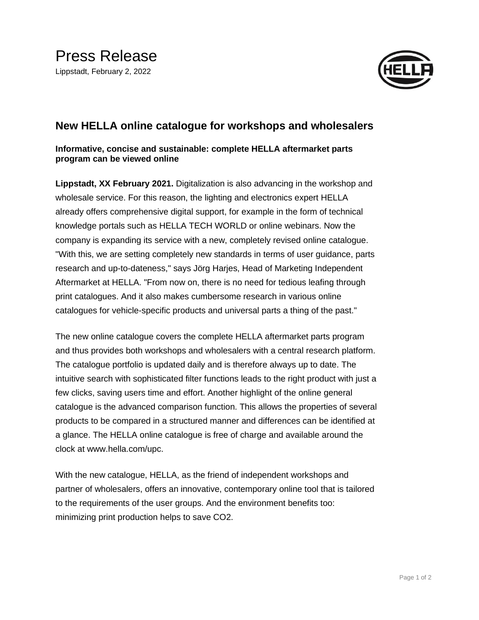

## **New HELLA online catalogue for workshops and wholesalers**

## **Informative, concise and sustainable: complete HELLA aftermarket parts program can be viewed online**

**Lippstadt, XX February 2021.** Digitalization is also advancing in the workshop and wholesale service. For this reason, the lighting and electronics expert HELLA already offers comprehensive digital support, for example in the form of technical knowledge portals such as HELLA TECH WORLD or online webinars. Now the company is expanding its service with a new, completely revised online catalogue. "With this, we are setting completely new standards in terms of user guidance, parts research and up-to-dateness," says Jörg Harjes, Head of Marketing Independent Aftermarket at HELLA. "From now on, there is no need for tedious leafing through print catalogues. And it also makes cumbersome research in various online catalogues for vehicle-specific products and universal parts a thing of the past."

The new online catalogue covers the complete HELLA aftermarket parts program and thus provides both workshops and wholesalers with a central research platform. The catalogue portfolio is updated daily and is therefore always up to date. The intuitive search with sophisticated filter functions leads to the right product with just a few clicks, saving users time and effort. Another highlight of the online general catalogue is the advanced comparison function. This allows the properties of several products to be compared in a structured manner and differences can be identified at a glance. The HELLA online catalogue is free of charge and available around the clock at www.hella.com/upc.

With the new catalogue, HELLA, as the friend of independent workshops and partner of wholesalers, offers an innovative, contemporary online tool that is tailored to the requirements of the user groups. And the environment benefits too: minimizing print production helps to save CO2.